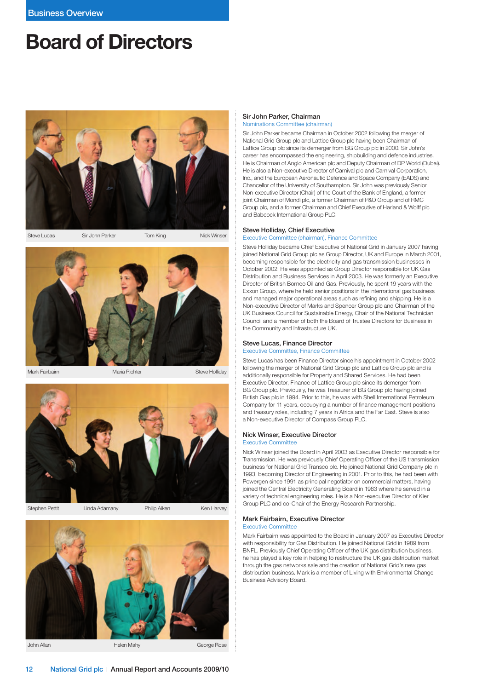# Board of Directors





Mark Fairbairn **Maria Richter Steve Holliday** Maria Richter Steve Holliday



Stephen Pettit Linda Adamany Philip Aiken Ken Harvey



## Sir John Parker, Chairman Nominations Committee (chairman)

Sir John Parker became Chairman in October 2002 following the merger of National Grid Group plc and Lattice Group plc having been Chairman of Lattice Group plc since its demerger from BG Group plc in 2000. Sir John's career has encompassed the engineering, shipbuilding and defence industries. He is Chairman of Anglo American plc and Deputy Chairman of DP World (Dubai). He is also a Non-executive Director of Carnival plc and Carnival Corporation, Inc., and the European Aeronautic Defence and Space Company (EADS) and Chancellor of the University of Southampton. Sir John was previously Senior Non-executive Director (Chair) of the Court of the Bank of England, a former joint Chairman of Mondi plc, a former Chairman of P&O Group and of RMC Group plc, and a former Chairman and Chief Executive of Harland & Wolff plc and Babcock International Group PLC.

#### Steve Holliday, Chief Executive

Executive Committee (chairman), Finance Committee

Steve Holliday became Chief Executive of National Grid in January 2007 having joined National Grid Group plc as Group Director, UK and Europe in March 2001, becoming responsible for the electricity and gas transmission businesses in October 2002. He was appointed as Group Director responsible for UK Gas Distribution and Business Services in April 2003. He was formerly an Executive Director of British Borneo Oil and Gas. Previously, he spent 19 years with the Exxon Group, where he held senior positions in the international gas business and managed major operational areas such as refining and shipping. He is a Non-executive Director of Marks and Spencer Group plc and Chairman of the UK Business Council for Sustainable Energy, Chair of the National Technician Council and a member of both the Board of Trustee Directors for Business in the Community and Infrastructure UK.

# Steve Lucas, Finance Director

Executive Committee, Finance Committee

Steve Lucas has been Finance Director since his appointment in October 2002 following the merger of National Grid Group plc and Lattice Group plc and is additionally responsible for Property and Shared Services. He had been Executive Director, Finance of Lattice Group plc since its demerger from BG Group plc. Previously, he was Treasurer of BG Group plc having joined British Gas plc in 1994. Prior to this, he was with Shell International Petroleum Company for 11 years, occupying a number of finance management positions and treasury roles, including 7 years in Africa and the Far East. Steve is also a Non-executive Director of Compass Group PLC.

# Nick Winser, Executive Director

#### Executive Committee

Nick Winser joined the Board in April 2003 as Executive Director responsible for Transmission. He was previously Chief Operating Officer of the US transmission business for National Grid Transco plc. He joined National Grid Company plc in 1993, becoming Director of Engineering in 2001. Prior to this, he had been with Powergen since 1991 as principal negotiator on commercial matters, having joined the Central Electricity Generating Board in 1983 where he served in a variety of technical engineering roles. He is a Non-executive Director of Kier Group PLC and co-Chair of the Energy Research Partnership.

#### Mark Fairbairn, Executive Director Executive Committee

Mark Fairbairn was appointed to the Board in January 2007 as Executive Director with responsibility for Gas Distribution. He joined National Grid in 1989 from BNFL. Previously Chief Operating Officer of the UK gas distribution business, he has played a key role in helping to restructure the UK gas distribution market through the gas networks sale and the creation of National Grid's new gas distribution business. Mark is a member of Living with Environmental Change Business Advisory Board.